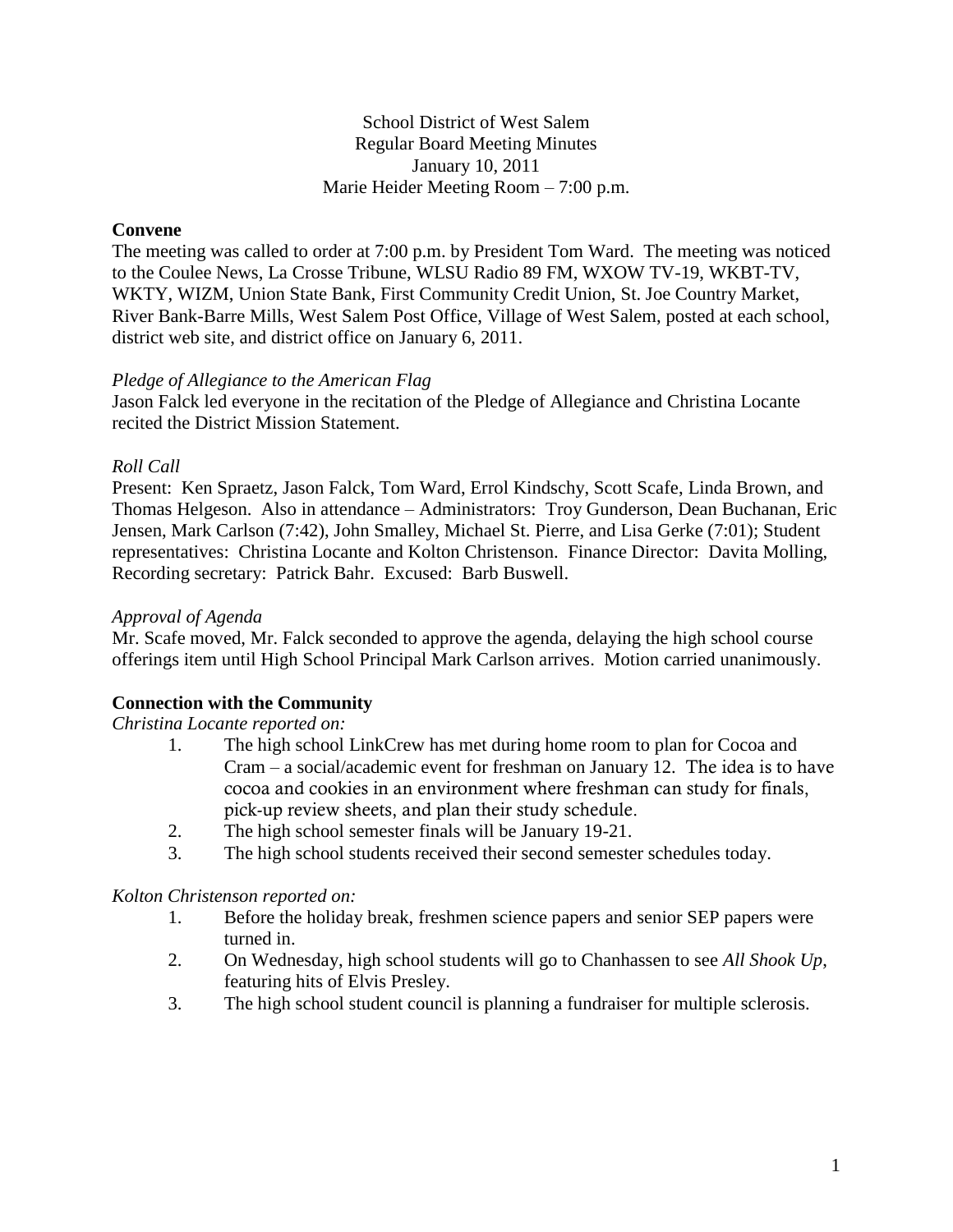# School District of West Salem Regular Board Meeting Minutes January 10, 2011 Marie Heider Meeting Room – 7:00 p.m.

# **Convene**

The meeting was called to order at 7:00 p.m. by President Tom Ward. The meeting was noticed to the Coulee News, La Crosse Tribune, WLSU Radio 89 FM, WXOW TV-19, WKBT-TV, WKTY, WIZM, Union State Bank, First Community Credit Union, St. Joe Country Market, River Bank-Barre Mills, West Salem Post Office, Village of West Salem, posted at each school, district web site, and district office on January 6, 2011.

### *Pledge of Allegiance to the American Flag*

Jason Falck led everyone in the recitation of the Pledge of Allegiance and Christina Locante recited the District Mission Statement.

# *Roll Call*

Present: Ken Spraetz, Jason Falck, Tom Ward, Errol Kindschy, Scott Scafe, Linda Brown, and Thomas Helgeson. Also in attendance – Administrators: Troy Gunderson, Dean Buchanan, Eric Jensen, Mark Carlson (7:42), John Smalley, Michael St. Pierre, and Lisa Gerke (7:01); Student representatives: Christina Locante and Kolton Christenson. Finance Director: Davita Molling, Recording secretary: Patrick Bahr. Excused: Barb Buswell.

## *Approval of Agenda*

Mr. Scafe moved, Mr. Falck seconded to approve the agenda, delaying the high school course offerings item until High School Principal Mark Carlson arrives. Motion carried unanimously.

# **Connection with the Community**

### *Christina Locante reported on:*

- 1. The high school LinkCrew has met during home room to plan for Cocoa and Cram – a social/academic event for freshman on January 12. The idea is to have cocoa and cookies in an environment where freshman can study for finals, pick-up review sheets, and plan their study schedule.
- 2. The high school semester finals will be January 19-21.
- 3. The high school students received their second semester schedules today.

# *Kolton Christenson reported on:*

- 1. Before the holiday break, freshmen science papers and senior SEP papers were turned in.
- 2. On Wednesday, high school students will go to Chanhassen to see *All Shook Up*, featuring hits of Elvis Presley.
- 3. The high school student council is planning a fundraiser for multiple sclerosis.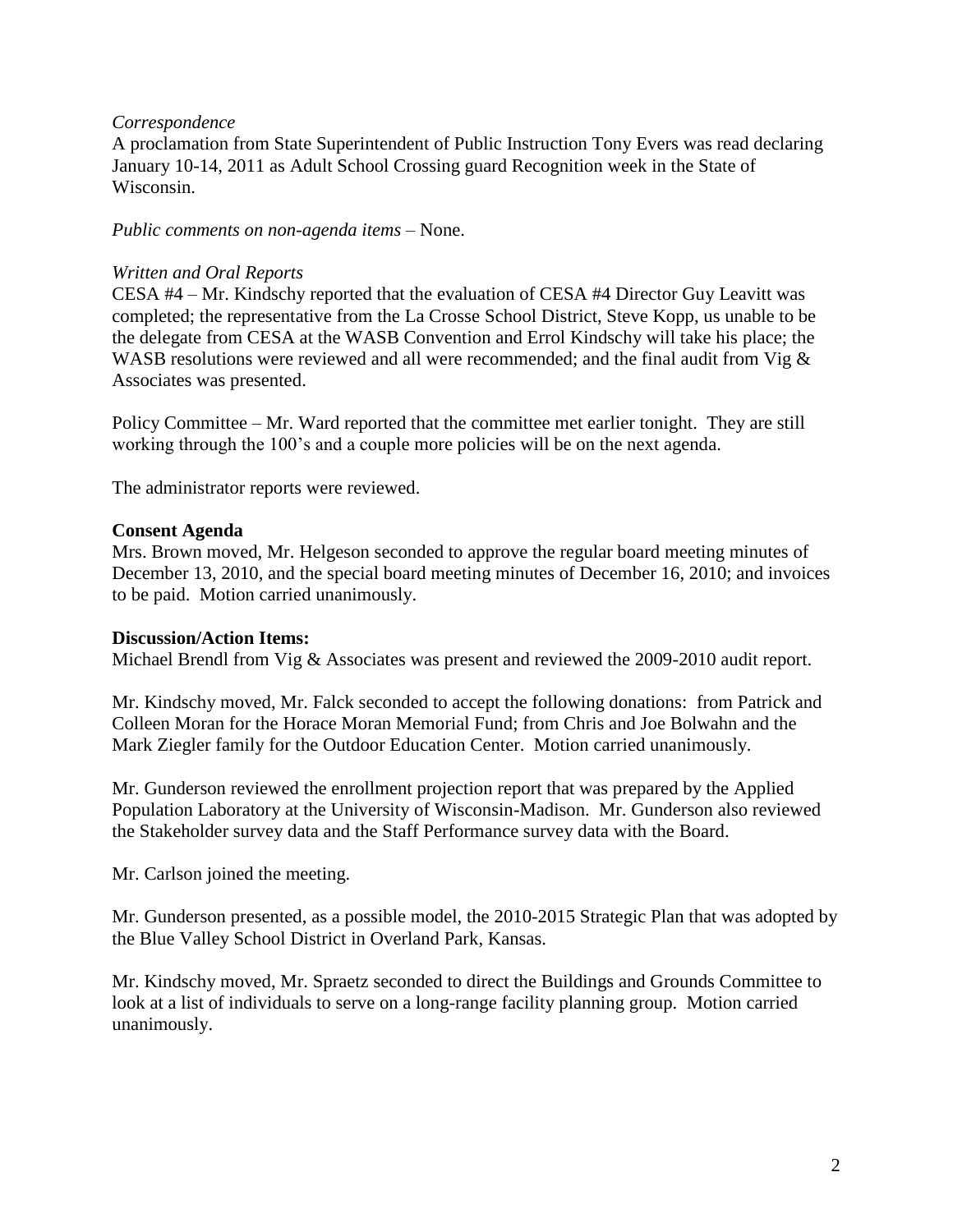### *Correspondence*

A proclamation from State Superintendent of Public Instruction Tony Evers was read declaring January 10-14, 2011 as Adult School Crossing guard Recognition week in the State of Wisconsin.

*Public comments on non-agenda items –* None.

#### *Written and Oral Reports*

CESA #4 – Mr. Kindschy reported that the evaluation of CESA #4 Director Guy Leavitt was completed; the representative from the La Crosse School District, Steve Kopp, us unable to be the delegate from CESA at the WASB Convention and Errol Kindschy will take his place; the WASB resolutions were reviewed and all were recommended; and the final audit from Vig & Associates was presented.

Policy Committee – Mr. Ward reported that the committee met earlier tonight. They are still working through the 100's and a couple more policies will be on the next agenda.

The administrator reports were reviewed.

### **Consent Agenda**

Mrs. Brown moved, Mr. Helgeson seconded to approve the regular board meeting minutes of December 13, 2010, and the special board meeting minutes of December 16, 2010; and invoices to be paid. Motion carried unanimously.

### **Discussion/Action Items:**

Michael Brendl from Vig & Associates was present and reviewed the 2009-2010 audit report.

Mr. Kindschy moved, Mr. Falck seconded to accept the following donations: from Patrick and Colleen Moran for the Horace Moran Memorial Fund; from Chris and Joe Bolwahn and the Mark Ziegler family for the Outdoor Education Center. Motion carried unanimously.

Mr. Gunderson reviewed the enrollment projection report that was prepared by the Applied Population Laboratory at the University of Wisconsin-Madison. Mr. Gunderson also reviewed the Stakeholder survey data and the Staff Performance survey data with the Board.

Mr. Carlson joined the meeting.

Mr. Gunderson presented, as a possible model, the 2010-2015 Strategic Plan that was adopted by the Blue Valley School District in Overland Park, Kansas.

Mr. Kindschy moved, Mr. Spraetz seconded to direct the Buildings and Grounds Committee to look at a list of individuals to serve on a long-range facility planning group. Motion carried unanimously.